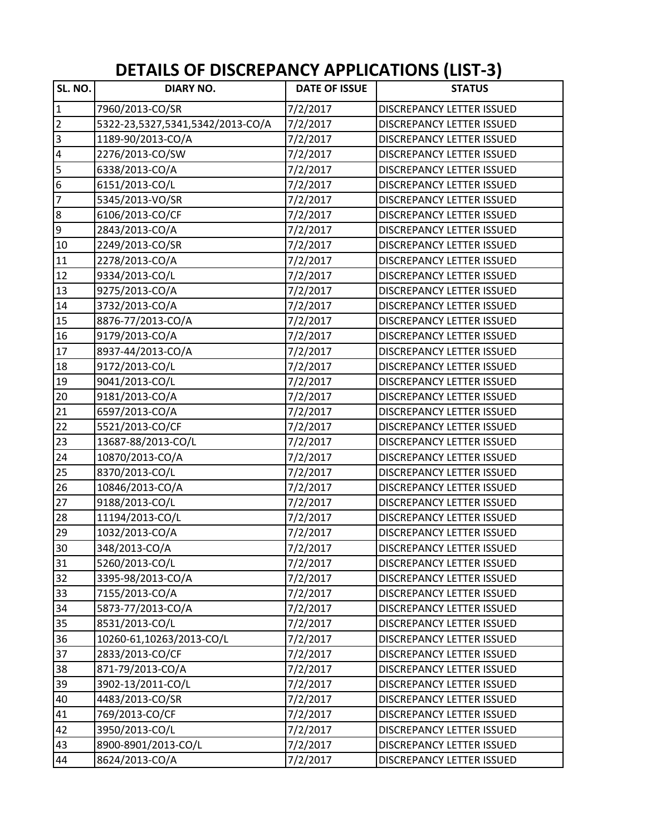## **DETAILS OF DISCREPANCY APPLICATIONS (LIST‐3)**

| SL. NO.                 | <b>DIARY NO.</b>                 | <b>DATE OF ISSUE</b> | <b>STATUS</b>                    |
|-------------------------|----------------------------------|----------------------|----------------------------------|
| $\overline{1}$          | 7960/2013-CO/SR                  | 7/2/2017             | DISCREPANCY LETTER ISSUED        |
| $\overline{2}$          | 5322-23,5327,5341,5342/2013-CO/A | 7/2/2017             | DISCREPANCY LETTER ISSUED        |
| $\overline{\mathbf{3}}$ | 1189-90/2013-CO/A                | 7/2/2017             | DISCREPANCY LETTER ISSUED        |
| $\overline{\mathbf{4}}$ | 2276/2013-CO/SW                  | 7/2/2017             | DISCREPANCY LETTER ISSUED        |
| 5                       | 6338/2013-CO/A                   | 7/2/2017             | DISCREPANCY LETTER ISSUED        |
| $\overline{6}$          | 6151/2013-CO/L                   | 7/2/2017             | DISCREPANCY LETTER ISSUED        |
| $\overline{z}$          | 5345/2013-VO/SR                  | 7/2/2017             | <b>DISCREPANCY LETTER ISSUED</b> |
| $\overline{8}$          | 6106/2013-CO/CF                  | 7/2/2017             | DISCREPANCY LETTER ISSUED        |
| $\overline{9}$          | 2843/2013-CO/A                   | 7/2/2017             | DISCREPANCY LETTER ISSUED        |
| 10                      | 2249/2013-CO/SR                  | 7/2/2017             | DISCREPANCY LETTER ISSUED        |
| 11                      | 2278/2013-CO/A                   | 7/2/2017             | <b>DISCREPANCY LETTER ISSUED</b> |
| 12                      | 9334/2013-CO/L                   | 7/2/2017             | <b>DISCREPANCY LETTER ISSUED</b> |
| 13                      | 9275/2013-CO/A                   | 7/2/2017             | DISCREPANCY LETTER ISSUED        |
| 14                      | 3732/2013-CO/A                   | 7/2/2017             | DISCREPANCY LETTER ISSUED        |
| 15                      | 8876-77/2013-CO/A                | 7/2/2017             | DISCREPANCY LETTER ISSUED        |
| 16                      | 9179/2013-CO/A                   | 7/2/2017             | <b>DISCREPANCY LETTER ISSUED</b> |
| 17                      | 8937-44/2013-CO/A                | 7/2/2017             | DISCREPANCY LETTER ISSUED        |
| 18                      | 9172/2013-CO/L                   | 7/2/2017             | DISCREPANCY LETTER ISSUED        |
| 19                      | 9041/2013-CO/L                   | 7/2/2017             | DISCREPANCY LETTER ISSUED        |
| 20                      | 9181/2013-CO/A                   | 7/2/2017             | <b>DISCREPANCY LETTER ISSUED</b> |
| 21                      | 6597/2013-CO/A                   | 7/2/2017             | <b>DISCREPANCY LETTER ISSUED</b> |
| 22                      | 5521/2013-CO/CF                  | 7/2/2017             | DISCREPANCY LETTER ISSUED        |
| 23                      | 13687-88/2013-CO/L               | 7/2/2017             | DISCREPANCY LETTER ISSUED        |
| 24                      | 10870/2013-CO/A                  | 7/2/2017             | DISCREPANCY LETTER ISSUED        |
| 25                      | 8370/2013-CO/L                   | 7/2/2017             | DISCREPANCY LETTER ISSUED        |
| 26                      | 10846/2013-CO/A                  | 7/2/2017             | DISCREPANCY LETTER ISSUED        |
| 27                      | 9188/2013-CO/L                   | 7/2/2017             | <b>DISCREPANCY LETTER ISSUED</b> |
| 28                      | 11194/2013-CO/L                  | 7/2/2017             | <b>DISCREPANCY LETTER ISSUED</b> |
| 29                      | 1032/2013-CO/A                   | 7/2/2017             | <b>DISCREPANCY LETTER ISSUED</b> |
| 30                      | 348/2013-CO/A                    | 7/2/2017             | <b>DISCREPANCY LETTER ISSUED</b> |
| 31                      | 5260/2013-CO/L                   | 7/2/2017             | DISCREPANCY LETTER ISSUED        |
| 32                      | 3395-98/2013-CO/A                | 7/2/2017             | DISCREPANCY LETTER ISSUED        |
| 33                      | 7155/2013-CO/A                   | 7/2/2017             | DISCREPANCY LETTER ISSUED        |
| 34                      | 5873-77/2013-CO/A                | 7/2/2017             | <b>DISCREPANCY LETTER ISSUED</b> |
| 35                      | 8531/2013-CO/L                   | 7/2/2017             | <b>DISCREPANCY LETTER ISSUED</b> |
| 36                      | 10260-61,10263/2013-CO/L         | 7/2/2017             | DISCREPANCY LETTER ISSUED        |
| 37                      | 2833/2013-CO/CF                  | 7/2/2017             | DISCREPANCY LETTER ISSUED        |
| 38                      | 871-79/2013-CO/A                 | 7/2/2017             | <b>DISCREPANCY LETTER ISSUED</b> |
| 39                      | 3902-13/2011-CO/L                | 7/2/2017             | <b>DISCREPANCY LETTER ISSUED</b> |
| 40                      | 4483/2013-CO/SR                  | 7/2/2017             | DISCREPANCY LETTER ISSUED        |
| 41                      | 769/2013-CO/CF                   | 7/2/2017             | DISCREPANCY LETTER ISSUED        |
| 42                      | 3950/2013-CO/L                   | 7/2/2017             | DISCREPANCY LETTER ISSUED        |
| 43                      | 8900-8901/2013-CO/L              | 7/2/2017             | DISCREPANCY LETTER ISSUED        |
| 44                      | 8624/2013-CO/A                   | 7/2/2017             | DISCREPANCY LETTER ISSUED        |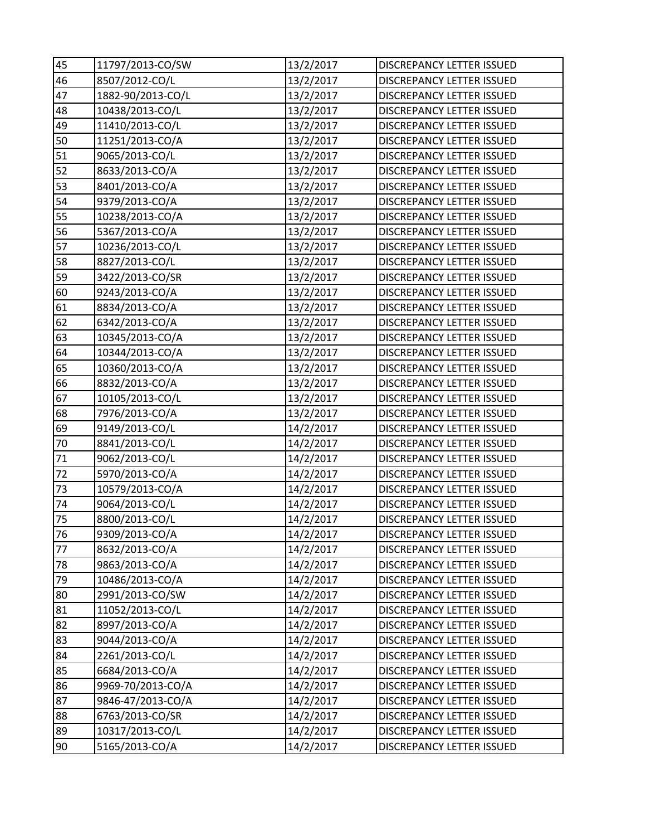| 45 | 11797/2013-CO/SW  | 13/2/2017 | DISCREPANCY LETTER ISSUED        |
|----|-------------------|-----------|----------------------------------|
| 46 | 8507/2012-CO/L    | 13/2/2017 | DISCREPANCY LETTER ISSUED        |
| 47 | 1882-90/2013-CO/L | 13/2/2017 | DISCREPANCY LETTER ISSUED        |
| 48 | 10438/2013-CO/L   | 13/2/2017 | DISCREPANCY LETTER ISSUED        |
| 49 | 11410/2013-CO/L   | 13/2/2017 | DISCREPANCY LETTER ISSUED        |
| 50 | 11251/2013-CO/A   | 13/2/2017 | DISCREPANCY LETTER ISSUED        |
| 51 | 9065/2013-CO/L    | 13/2/2017 | DISCREPANCY LETTER ISSUED        |
| 52 | 8633/2013-CO/A    | 13/2/2017 | <b>DISCREPANCY LETTER ISSUED</b> |
| 53 | 8401/2013-CO/A    | 13/2/2017 | DISCREPANCY LETTER ISSUED        |
| 54 | 9379/2013-CO/A    | 13/2/2017 | DISCREPANCY LETTER ISSUED        |
| 55 | 10238/2013-CO/A   | 13/2/2017 | DISCREPANCY LETTER ISSUED        |
| 56 | 5367/2013-CO/A    | 13/2/2017 | DISCREPANCY LETTER ISSUED        |
| 57 | 10236/2013-CO/L   | 13/2/2017 | DISCREPANCY LETTER ISSUED        |
| 58 | 8827/2013-CO/L    | 13/2/2017 | <b>DISCREPANCY LETTER ISSUED</b> |
| 59 | 3422/2013-CO/SR   | 13/2/2017 | <b>DISCREPANCY LETTER ISSUED</b> |
| 60 | 9243/2013-CO/A    | 13/2/2017 | DISCREPANCY LETTER ISSUED        |
| 61 | 8834/2013-CO/A    | 13/2/2017 | DISCREPANCY LETTER ISSUED        |
| 62 | 6342/2013-CO/A    | 13/2/2017 | <b>DISCREPANCY LETTER ISSUED</b> |
| 63 | 10345/2013-CO/A   | 13/2/2017 | DISCREPANCY LETTER ISSUED        |
| 64 | 10344/2013-CO/A   | 13/2/2017 | DISCREPANCY LETTER ISSUED        |
| 65 | 10360/2013-CO/A   | 13/2/2017 | DISCREPANCY LETTER ISSUED        |
| 66 | 8832/2013-CO/A    | 13/2/2017 | DISCREPANCY LETTER ISSUED        |
| 67 | 10105/2013-CO/L   | 13/2/2017 | DISCREPANCY LETTER ISSUED        |
| 68 | 7976/2013-CO/A    | 13/2/2017 | DISCREPANCY LETTER ISSUED        |
| 69 | 9149/2013-CO/L    | 14/2/2017 | DISCREPANCY LETTER ISSUED        |
| 70 | 8841/2013-CO/L    | 14/2/2017 | <b>DISCREPANCY LETTER ISSUED</b> |
| 71 | 9062/2013-CO/L    | 14/2/2017 | DISCREPANCY LETTER ISSUED        |
| 72 | 5970/2013-CO/A    | 14/2/2017 | DISCREPANCY LETTER ISSUED        |
| 73 | 10579/2013-CO/A   | 14/2/2017 | DISCREPANCY LETTER ISSUED        |
| 74 | 9064/2013-CO/L    | 14/2/2017 | DISCREPANCY LETTER ISSUED        |
| 75 | 8800/2013-CO/L    | 14/2/2017 | <b>DISCREPANCY LETTER ISSUED</b> |
| 76 | 9309/2013-CO/A    | 14/2/2017 | DISCREPANCY LETTER ISSUED        |
| 77 | 8632/2013-CO/A    | 14/2/2017 | DISCREPANCY LETTER ISSUED        |
| 78 | 9863/2013-CO/A    | 14/2/2017 | DISCREPANCY LETTER ISSUED        |
| 79 | 10486/2013-CO/A   | 14/2/2017 | DISCREPANCY LETTER ISSUED        |
| 80 | 2991/2013-CO/SW   | 14/2/2017 | DISCREPANCY LETTER ISSUED        |
| 81 | 11052/2013-CO/L   | 14/2/2017 | <b>DISCREPANCY LETTER ISSUED</b> |
| 82 | 8997/2013-CO/A    | 14/2/2017 | DISCREPANCY LETTER ISSUED        |
| 83 | 9044/2013-CO/A    | 14/2/2017 | DISCREPANCY LETTER ISSUED        |
| 84 | 2261/2013-CO/L    | 14/2/2017 | <b>DISCREPANCY LETTER ISSUED</b> |
| 85 | 6684/2013-CO/A    | 14/2/2017 | DISCREPANCY LETTER ISSUED        |
| 86 | 9969-70/2013-CO/A | 14/2/2017 | DISCREPANCY LETTER ISSUED        |
| 87 | 9846-47/2013-CO/A | 14/2/2017 | DISCREPANCY LETTER ISSUED        |
| 88 | 6763/2013-CO/SR   | 14/2/2017 | DISCREPANCY LETTER ISSUED        |
| 89 | 10317/2013-CO/L   | 14/2/2017 | DISCREPANCY LETTER ISSUED        |
| 90 | 5165/2013-CO/A    | 14/2/2017 | DISCREPANCY LETTER ISSUED        |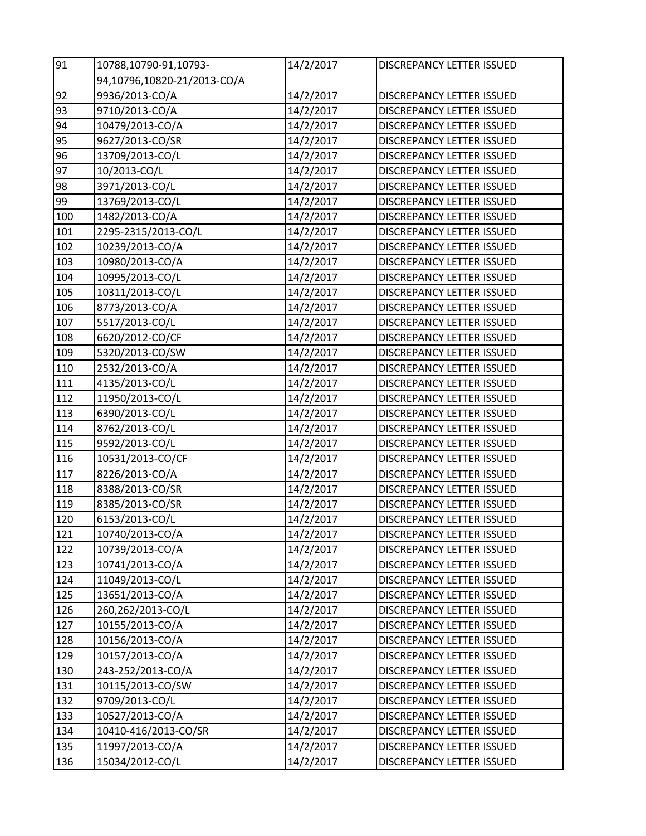| 91  | 10788,10790-91,10793-       | 14/2/2017 | DISCREPANCY LETTER ISSUED        |
|-----|-----------------------------|-----------|----------------------------------|
|     | 94,10796,10820-21/2013-CO/A |           |                                  |
| 92  | 9936/2013-CO/A              | 14/2/2017 | DISCREPANCY LETTER ISSUED        |
| 93  | 9710/2013-CO/A              | 14/2/2017 | DISCREPANCY LETTER ISSUED        |
| 94  | 10479/2013-CO/A             | 14/2/2017 | DISCREPANCY LETTER ISSUED        |
| 95  | 9627/2013-CO/SR             | 14/2/2017 | DISCREPANCY LETTER ISSUED        |
| 96  | 13709/2013-CO/L             | 14/2/2017 | <b>DISCREPANCY LETTER ISSUED</b> |
| 97  | 10/2013-CO/L                | 14/2/2017 | DISCREPANCY LETTER ISSUED        |
| 98  | 3971/2013-CO/L              | 14/2/2017 | DISCREPANCY LETTER ISSUED        |
| 99  | 13769/2013-CO/L             | 14/2/2017 | DISCREPANCY LETTER ISSUED        |
| 100 | 1482/2013-CO/A              | 14/2/2017 | DISCREPANCY LETTER ISSUED        |
| 101 | 2295-2315/2013-CO/L         | 14/2/2017 | DISCREPANCY LETTER ISSUED        |
| 102 | 10239/2013-CO/A             | 14/2/2017 | DISCREPANCY LETTER ISSUED        |
| 103 | 10980/2013-CO/A             | 14/2/2017 | DISCREPANCY LETTER ISSUED        |
| 104 | 10995/2013-CO/L             | 14/2/2017 | <b>DISCREPANCY LETTER ISSUED</b> |
| 105 | 10311/2013-CO/L             | 14/2/2017 | <b>DISCREPANCY LETTER ISSUED</b> |
| 106 | 8773/2013-CO/A              | 14/2/2017 | <b>DISCREPANCY LETTER ISSUED</b> |
| 107 | 5517/2013-CO/L              | 14/2/2017 | DISCREPANCY LETTER ISSUED        |
| 108 | 6620/2012-CO/CF             | 14/2/2017 | DISCREPANCY LETTER ISSUED        |
| 109 | 5320/2013-CO/SW             | 14/2/2017 | <b>DISCREPANCY LETTER ISSUED</b> |
| 110 | 2532/2013-CO/A              | 14/2/2017 | DISCREPANCY LETTER ISSUED        |
| 111 | 4135/2013-CO/L              | 14/2/2017 | DISCREPANCY LETTER ISSUED        |
| 112 | 11950/2013-CO/L             | 14/2/2017 | DISCREPANCY LETTER ISSUED        |
| 113 | 6390/2013-CO/L              | 14/2/2017 | DISCREPANCY LETTER ISSUED        |
| 114 | 8762/2013-CO/L              | 14/2/2017 | DISCREPANCY LETTER ISSUED        |
| 115 | 9592/2013-CO/L              | 14/2/2017 | DISCREPANCY LETTER ISSUED        |
| 116 | 10531/2013-CO/CF            | 14/2/2017 | <b>DISCREPANCY LETTER ISSUED</b> |
| 117 | 8226/2013-CO/A              | 14/2/2017 | <b>DISCREPANCY LETTER ISSUED</b> |
| 118 | 8388/2013-CO/SR             | 14/2/2017 | DISCREPANCY LETTER ISSUED        |
| 119 | 8385/2013-CO/SR             | 14/2/2017 | DISCREPANCY LETTER ISSUED        |
| 120 | 6153/2013-CO/L              | 14/2/2017 | DISCREPANCY LETTER ISSUED        |
| 121 | 10740/2013-CO/A             | 14/2/2017 | DISCREPANCY LETTER ISSUED        |
| 122 | 10739/2013-CO/A             | 14/2/2017 | DISCREPANCY LETTER ISSUED        |
| 123 | 10741/2013-CO/A             | 14/2/2017 | DISCREPANCY LETTER ISSUED        |
| 124 | 11049/2013-CO/L             | 14/2/2017 | DISCREPANCY LETTER ISSUED        |
| 125 | 13651/2013-CO/A             | 14/2/2017 | <b>DISCREPANCY LETTER ISSUED</b> |
| 126 | 260,262/2013-CO/L           | 14/2/2017 | DISCREPANCY LETTER ISSUED        |
| 127 | 10155/2013-CO/A             | 14/2/2017 | DISCREPANCY LETTER ISSUED        |
| 128 | 10156/2013-CO/A             | 14/2/2017 | <b>DISCREPANCY LETTER ISSUED</b> |
| 129 | 10157/2013-CO/A             | 14/2/2017 | DISCREPANCY LETTER ISSUED        |
| 130 | 243-252/2013-CO/A           | 14/2/2017 | DISCREPANCY LETTER ISSUED        |
| 131 | 10115/2013-CO/SW            | 14/2/2017 | DISCREPANCY LETTER ISSUED        |
| 132 | 9709/2013-CO/L              | 14/2/2017 | DISCREPANCY LETTER ISSUED        |
| 133 | 10527/2013-CO/A             | 14/2/2017 | DISCREPANCY LETTER ISSUED        |
| 134 | 10410-416/2013-CO/SR        | 14/2/2017 | DISCREPANCY LETTER ISSUED        |
| 135 | 11997/2013-CO/A             | 14/2/2017 | DISCREPANCY LETTER ISSUED        |
| 136 | 15034/2012-CO/L             | 14/2/2017 | DISCREPANCY LETTER ISSUED        |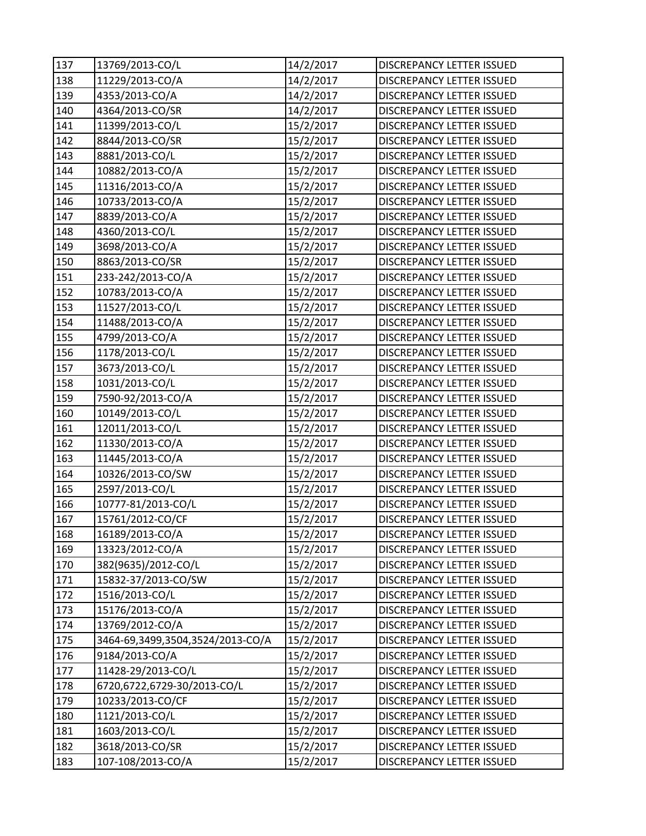| 137 | 13769/2013-CO/L                  | 14/2/2017 | DISCREPANCY LETTER ISSUED        |
|-----|----------------------------------|-----------|----------------------------------|
| 138 | 11229/2013-CO/A                  | 14/2/2017 | DISCREPANCY LETTER ISSUED        |
| 139 | 4353/2013-CO/A                   | 14/2/2017 | DISCREPANCY LETTER ISSUED        |
| 140 | 4364/2013-CO/SR                  | 14/2/2017 | DISCREPANCY LETTER ISSUED        |
| 141 | 11399/2013-CO/L                  | 15/2/2017 | DISCREPANCY LETTER ISSUED        |
| 142 | 8844/2013-CO/SR                  | 15/2/2017 | DISCREPANCY LETTER ISSUED        |
| 143 | 8881/2013-CO/L                   | 15/2/2017 | DISCREPANCY LETTER ISSUED        |
| 144 | 10882/2013-CO/A                  | 15/2/2017 | DISCREPANCY LETTER ISSUED        |
| 145 | 11316/2013-CO/A                  | 15/2/2017 | <b>DISCREPANCY LETTER ISSUED</b> |
| 146 | 10733/2013-CO/A                  | 15/2/2017 | <b>DISCREPANCY LETTER ISSUED</b> |
| 147 | 8839/2013-CO/A                   | 15/2/2017 | DISCREPANCY LETTER ISSUED        |
| 148 | 4360/2013-CO/L                   | 15/2/2017 | DISCREPANCY LETTER ISSUED        |
| 149 | 3698/2013-CO/A                   | 15/2/2017 | DISCREPANCY LETTER ISSUED        |
| 150 | 8863/2013-CO/SR                  | 15/2/2017 | DISCREPANCY LETTER ISSUED        |
| 151 | 233-242/2013-CO/A                | 15/2/2017 | DISCREPANCY LETTER ISSUED        |
| 152 | 10783/2013-CO/A                  | 15/2/2017 | DISCREPANCY LETTER ISSUED        |
| 153 | 11527/2013-CO/L                  | 15/2/2017 | DISCREPANCY LETTER ISSUED        |
| 154 | 11488/2013-CO/A                  | 15/2/2017 | <b>DISCREPANCY LETTER ISSUED</b> |
| 155 | 4799/2013-CO/A                   | 15/2/2017 | DISCREPANCY LETTER ISSUED        |
| 156 | 1178/2013-CO/L                   | 15/2/2017 | DISCREPANCY LETTER ISSUED        |
| 157 | 3673/2013-CO/L                   | 15/2/2017 | DISCREPANCY LETTER ISSUED        |
| 158 | 1031/2013-CO/L                   | 15/2/2017 | DISCREPANCY LETTER ISSUED        |
| 159 | 7590-92/2013-CO/A                | 15/2/2017 | <b>DISCREPANCY LETTER ISSUED</b> |
| 160 | 10149/2013-CO/L                  | 15/2/2017 | DISCREPANCY LETTER ISSUED        |
| 161 | 12011/2013-CO/L                  | 15/2/2017 | <b>DISCREPANCY LETTER ISSUED</b> |
| 162 | 11330/2013-CO/A                  | 15/2/2017 | DISCREPANCY LETTER ISSUED        |
| 163 | 11445/2013-CO/A                  | 15/2/2017 | DISCREPANCY LETTER ISSUED        |
| 164 | 10326/2013-CO/SW                 | 15/2/2017 | DISCREPANCY LETTER ISSUED        |
| 165 | 2597/2013-CO/L                   | 15/2/2017 | DISCREPANCY LETTER ISSUED        |
| 166 | 10777-81/2013-CO/L               | 15/2/2017 | <b>DISCREPANCY LETTER ISSUED</b> |
| 167 | 15761/2012-CO/CF                 | 15/2/2017 | <b>DISCREPANCY LETTER ISSUED</b> |
| 168 | 16189/2013-CO/A                  | 15/2/2017 | DISCREPANCY LETTER ISSUED        |
| 169 | 13323/2012-CO/A                  | 15/2/2017 | DISCREPANCY LETTER ISSUED        |
| 170 | 382(9635)/2012-CO/L              | 15/2/2017 | DISCREPANCY LETTER ISSUED        |
| 171 | 15832-37/2013-CO/SW              | 15/2/2017 | DISCREPANCY LETTER ISSUED        |
| 172 | 1516/2013-CO/L                   | 15/2/2017 | DISCREPANCY LETTER ISSUED        |
| 173 | 15176/2013-CO/A                  | 15/2/2017 | DISCREPANCY LETTER ISSUED        |
| 174 | 13769/2012-CO/A                  | 15/2/2017 | DISCREPANCY LETTER ISSUED        |
| 175 | 3464-69,3499,3504,3524/2013-CO/A | 15/2/2017 | <b>DISCREPANCY LETTER ISSUED</b> |
| 176 | 9184/2013-CO/A                   | 15/2/2017 | DISCREPANCY LETTER ISSUED        |
| 177 | 11428-29/2013-CO/L               | 15/2/2017 | DISCREPANCY LETTER ISSUED        |
| 178 | 6720,6722,6729-30/2013-CO/L      | 15/2/2017 | DISCREPANCY LETTER ISSUED        |
| 179 | 10233/2013-CO/CF                 | 15/2/2017 | DISCREPANCY LETTER ISSUED        |
| 180 | 1121/2013-CO/L                   | 15/2/2017 | DISCREPANCY LETTER ISSUED        |
| 181 | 1603/2013-CO/L                   | 15/2/2017 | DISCREPANCY LETTER ISSUED        |
| 182 | 3618/2013-CO/SR                  | 15/2/2017 | DISCREPANCY LETTER ISSUED        |
| 183 | 107-108/2013-CO/A                | 15/2/2017 | DISCREPANCY LETTER ISSUED        |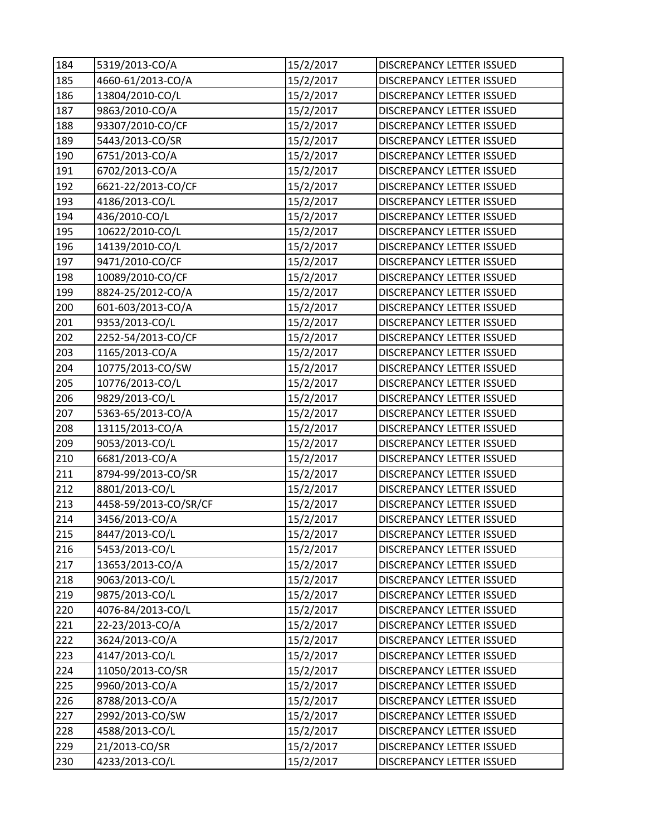| 184 | 5319/2013-CO/A        | 15/2/2017 | DISCREPANCY LETTER ISSUED        |
|-----|-----------------------|-----------|----------------------------------|
| 185 | 4660-61/2013-CO/A     | 15/2/2017 | DISCREPANCY LETTER ISSUED        |
| 186 | 13804/2010-CO/L       | 15/2/2017 | DISCREPANCY LETTER ISSUED        |
| 187 | 9863/2010-CO/A        | 15/2/2017 | DISCREPANCY LETTER ISSUED        |
| 188 | 93307/2010-CO/CF      | 15/2/2017 | DISCREPANCY LETTER ISSUED        |
| 189 | 5443/2013-CO/SR       | 15/2/2017 | DISCREPANCY LETTER ISSUED        |
| 190 | 6751/2013-CO/A        | 15/2/2017 | <b>DISCREPANCY LETTER ISSUED</b> |
| 191 | 6702/2013-CO/A        | 15/2/2017 | DISCREPANCY LETTER ISSUED        |
| 192 | 6621-22/2013-CO/CF    | 15/2/2017 | <b>DISCREPANCY LETTER ISSUED</b> |
| 193 | 4186/2013-CO/L        | 15/2/2017 | <b>DISCREPANCY LETTER ISSUED</b> |
| 194 | 436/2010-CO/L         | 15/2/2017 | DISCREPANCY LETTER ISSUED        |
| 195 | 10622/2010-CO/L       | 15/2/2017 | DISCREPANCY LETTER ISSUED        |
| 196 | 14139/2010-CO/L       | 15/2/2017 | DISCREPANCY LETTER ISSUED        |
| 197 | 9471/2010-CO/CF       | 15/2/2017 | <b>DISCREPANCY LETTER ISSUED</b> |
| 198 | 10089/2010-CO/CF      | 15/2/2017 | <b>DISCREPANCY LETTER ISSUED</b> |
| 199 | 8824-25/2012-CO/A     | 15/2/2017 | DISCREPANCY LETTER ISSUED        |
| 200 | 601-603/2013-CO/A     | 15/2/2017 | DISCREPANCY LETTER ISSUED        |
| 201 | 9353/2013-CO/L        | 15/2/2017 | DISCREPANCY LETTER ISSUED        |
| 202 | 2252-54/2013-CO/CF    | 15/2/2017 | DISCREPANCY LETTER ISSUED        |
| 203 | 1165/2013-CO/A        | 15/2/2017 | DISCREPANCY LETTER ISSUED        |
| 204 | 10775/2013-CO/SW      | 15/2/2017 | DISCREPANCY LETTER ISSUED        |
| 205 | 10776/2013-CO/L       | 15/2/2017 | DISCREPANCY LETTER ISSUED        |
| 206 | 9829/2013-CO/L        | 15/2/2017 | <b>DISCREPANCY LETTER ISSUED</b> |
| 207 | 5363-65/2013-CO/A     | 15/2/2017 | DISCREPANCY LETTER ISSUED        |
| 208 | 13115/2013-CO/A       | 15/2/2017 | <b>DISCREPANCY LETTER ISSUED</b> |
| 209 | 9053/2013-CO/L        | 15/2/2017 | <b>DISCREPANCY LETTER ISSUED</b> |
| 210 | 6681/2013-CO/A        | 15/2/2017 | DISCREPANCY LETTER ISSUED        |
| 211 | 8794-99/2013-CO/SR    | 15/2/2017 | DISCREPANCY LETTER ISSUED        |
| 212 | 8801/2013-CO/L        | 15/2/2017 | DISCREPANCY LETTER ISSUED        |
| 213 | 4458-59/2013-CO/SR/CF | 15/2/2017 | DISCREPANCY LETTER ISSUED        |
| 214 | 3456/2013-CO/A        | 15/2/2017 | DISCREPANCY LETTER ISSUED        |
| 215 | 8447/2013-CO/L        | 15/2/2017 | DISCREPANCY LETTER ISSUED        |
| 216 | 5453/2013-CO/L        | 15/2/2017 | DISCREPANCY LETTER ISSUED        |
| 217 | 13653/2013-CO/A       | 15/2/2017 | DISCREPANCY LETTER ISSUED        |
| 218 | 9063/2013-CO/L        | 15/2/2017 | DISCREPANCY LETTER ISSUED        |
| 219 | 9875/2013-CO/L        | 15/2/2017 | DISCREPANCY LETTER ISSUED        |
| 220 | 4076-84/2013-CO/L     | 15/2/2017 | DISCREPANCY LETTER ISSUED        |
| 221 | 22-23/2013-CO/A       | 15/2/2017 | DISCREPANCY LETTER ISSUED        |
| 222 | 3624/2013-CO/A        | 15/2/2017 | DISCREPANCY LETTER ISSUED        |
| 223 | 4147/2013-CO/L        | 15/2/2017 | DISCREPANCY LETTER ISSUED        |
| 224 | 11050/2013-CO/SR      | 15/2/2017 | DISCREPANCY LETTER ISSUED        |
| 225 | 9960/2013-CO/A        | 15/2/2017 | DISCREPANCY LETTER ISSUED        |
| 226 | 8788/2013-CO/A        | 15/2/2017 | DISCREPANCY LETTER ISSUED        |
| 227 | 2992/2013-CO/SW       | 15/2/2017 | DISCREPANCY LETTER ISSUED        |
| 228 | 4588/2013-CO/L        | 15/2/2017 | DISCREPANCY LETTER ISSUED        |
| 229 | 21/2013-CO/SR         | 15/2/2017 | DISCREPANCY LETTER ISSUED        |
| 230 | 4233/2013-CO/L        | 15/2/2017 | DISCREPANCY LETTER ISSUED        |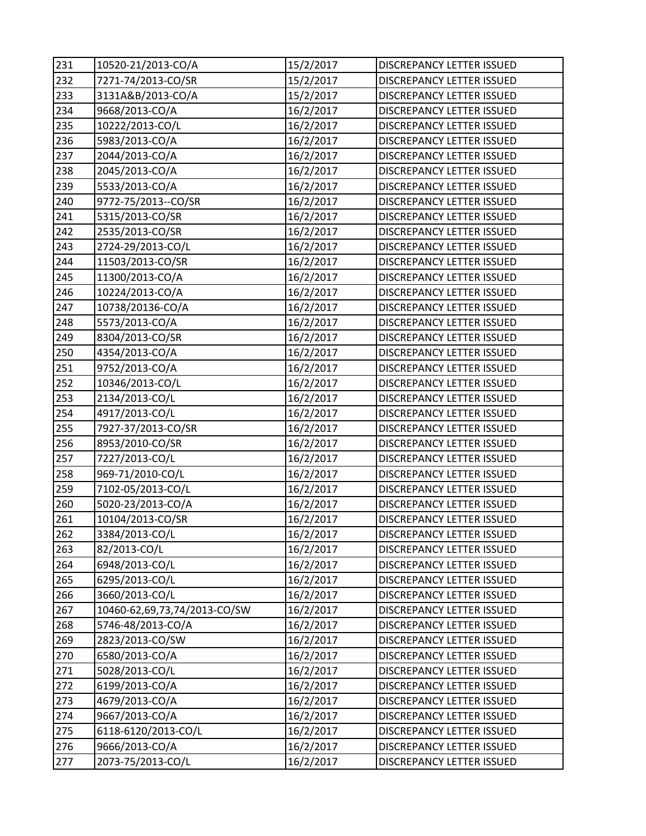| 231 | 10520-21/2013-CO/A           | 15/2/2017 | DISCREPANCY LETTER ISSUED        |
|-----|------------------------------|-----------|----------------------------------|
| 232 | 7271-74/2013-CO/SR           | 15/2/2017 | DISCREPANCY LETTER ISSUED        |
| 233 | 3131A&B/2013-CO/A            | 15/2/2017 | DISCREPANCY LETTER ISSUED        |
| 234 | 9668/2013-CO/A               | 16/2/2017 | DISCREPANCY LETTER ISSUED        |
| 235 | 10222/2013-CO/L              | 16/2/2017 | DISCREPANCY LETTER ISSUED        |
| 236 | 5983/2013-CO/A               | 16/2/2017 | DISCREPANCY LETTER ISSUED        |
| 237 | 2044/2013-CO/A               | 16/2/2017 | DISCREPANCY LETTER ISSUED        |
| 238 | 2045/2013-CO/A               | 16/2/2017 | DISCREPANCY LETTER ISSUED        |
| 239 | 5533/2013-CO/A               | 16/2/2017 | DISCREPANCY LETTER ISSUED        |
| 240 | 9772-75/2013--CO/SR          | 16/2/2017 | <b>DISCREPANCY LETTER ISSUED</b> |
| 241 | 5315/2013-CO/SR              | 16/2/2017 | DISCREPANCY LETTER ISSUED        |
| 242 | 2535/2013-CO/SR              | 16/2/2017 | DISCREPANCY LETTER ISSUED        |
| 243 | 2724-29/2013-CO/L            | 16/2/2017 | DISCREPANCY LETTER ISSUED        |
| 244 | 11503/2013-CO/SR             | 16/2/2017 | DISCREPANCY LETTER ISSUED        |
| 245 | 11300/2013-CO/A              | 16/2/2017 | DISCREPANCY LETTER ISSUED        |
| 246 | 10224/2013-CO/A              | 16/2/2017 | DISCREPANCY LETTER ISSUED        |
| 247 | 10738/20136-CO/A             | 16/2/2017 | DISCREPANCY LETTER ISSUED        |
| 248 | 5573/2013-CO/A               | 16/2/2017 | DISCREPANCY LETTER ISSUED        |
| 249 | 8304/2013-CO/SR              | 16/2/2017 | <b>DISCREPANCY LETTER ISSUED</b> |
| 250 | 4354/2013-CO/A               | 16/2/2017 | DISCREPANCY LETTER ISSUED        |
| 251 | 9752/2013-CO/A               | 16/2/2017 | <b>DISCREPANCY LETTER ISSUED</b> |
| 252 | 10346/2013-CO/L              | 16/2/2017 | DISCREPANCY LETTER ISSUED        |
| 253 | 2134/2013-CO/L               | 16/2/2017 | <b>DISCREPANCY LETTER ISSUED</b> |
| 254 | 4917/2013-CO/L               | 16/2/2017 | DISCREPANCY LETTER ISSUED        |
| 255 | 7927-37/2013-CO/SR           | 16/2/2017 | DISCREPANCY LETTER ISSUED        |
| 256 | 8953/2010-CO/SR              | 16/2/2017 | DISCREPANCY LETTER ISSUED        |
| 257 | 7227/2013-CO/L               | 16/2/2017 | DISCREPANCY LETTER ISSUED        |
| 258 | 969-71/2010-CO/L             | 16/2/2017 | DISCREPANCY LETTER ISSUED        |
| 259 | 7102-05/2013-CO/L            | 16/2/2017 | DISCREPANCY LETTER ISSUED        |
| 260 | 5020-23/2013-CO/A            | 16/2/2017 | DISCREPANCY LETTER ISSUED        |
| 261 | 10104/2013-CO/SR             | 16/2/2017 | DISCREPANCY LETTER ISSUED        |
| 262 | 3384/2013-CO/L               | 16/2/2017 | DISCREPANCY LETTER ISSUED        |
| 263 | 82/2013-CO/L                 | 16/2/2017 | DISCREPANCY LETTER ISSUED        |
| 264 | 6948/2013-CO/L               | 16/2/2017 | DISCREPANCY LETTER ISSUED        |
| 265 | 6295/2013-CO/L               | 16/2/2017 | DISCREPANCY LETTER ISSUED        |
| 266 | 3660/2013-CO/L               | 16/2/2017 | DISCREPANCY LETTER ISSUED        |
| 267 | 10460-62,69,73,74/2013-CO/SW | 16/2/2017 | DISCREPANCY LETTER ISSUED        |
| 268 | 5746-48/2013-CO/A            | 16/2/2017 | DISCREPANCY LETTER ISSUED        |
| 269 | 2823/2013-CO/SW              | 16/2/2017 | DISCREPANCY LETTER ISSUED        |
| 270 | 6580/2013-CO/A               | 16/2/2017 | DISCREPANCY LETTER ISSUED        |
| 271 | 5028/2013-CO/L               | 16/2/2017 | DISCREPANCY LETTER ISSUED        |
| 272 | 6199/2013-CO/A               | 16/2/2017 | DISCREPANCY LETTER ISSUED        |
| 273 | 4679/2013-CO/A               | 16/2/2017 | DISCREPANCY LETTER ISSUED        |
| 274 | 9667/2013-CO/A               | 16/2/2017 | DISCREPANCY LETTER ISSUED        |
| 275 | 6118-6120/2013-CO/L          | 16/2/2017 | DISCREPANCY LETTER ISSUED        |
| 276 | 9666/2013-CO/A               | 16/2/2017 | DISCREPANCY LETTER ISSUED        |
| 277 | 2073-75/2013-CO/L            | 16/2/2017 | DISCREPANCY LETTER ISSUED        |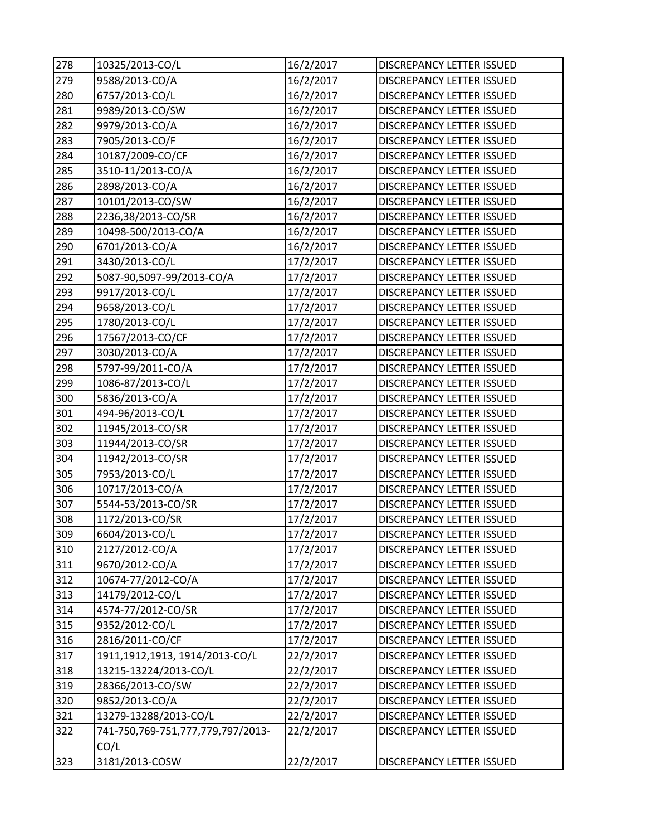| 278 | 10325/2013-CO/L                           | 16/2/2017 | DISCREPANCY LETTER ISSUED        |
|-----|-------------------------------------------|-----------|----------------------------------|
| 279 | 9588/2013-CO/A                            | 16/2/2017 | DISCREPANCY LETTER ISSUED        |
| 280 | 6757/2013-CO/L                            | 16/2/2017 | DISCREPANCY LETTER ISSUED        |
| 281 | 9989/2013-CO/SW                           | 16/2/2017 | DISCREPANCY LETTER ISSUED        |
| 282 | 9979/2013-CO/A                            | 16/2/2017 | DISCREPANCY LETTER ISSUED        |
| 283 | 7905/2013-CO/F                            | 16/2/2017 | DISCREPANCY LETTER ISSUED        |
| 284 | 10187/2009-CO/CF                          | 16/2/2017 | DISCREPANCY LETTER ISSUED        |
| 285 | 3510-11/2013-CO/A                         | 16/2/2017 | DISCREPANCY LETTER ISSUED        |
| 286 | 2898/2013-CO/A                            | 16/2/2017 | DISCREPANCY LETTER ISSUED        |
| 287 | 10101/2013-CO/SW                          | 16/2/2017 | <b>DISCREPANCY LETTER ISSUED</b> |
| 288 | 2236,38/2013-CO/SR                        | 16/2/2017 | DISCREPANCY LETTER ISSUED        |
| 289 | 10498-500/2013-CO/A                       | 16/2/2017 | DISCREPANCY LETTER ISSUED        |
| 290 | 6701/2013-CO/A                            | 16/2/2017 | DISCREPANCY LETTER ISSUED        |
| 291 | 3430/2013-CO/L                            | 17/2/2017 | DISCREPANCY LETTER ISSUED        |
| 292 | 5087-90,5097-99/2013-CO/A                 | 17/2/2017 | DISCREPANCY LETTER ISSUED        |
| 293 | 9917/2013-CO/L                            | 17/2/2017 | DISCREPANCY LETTER ISSUED        |
| 294 | 9658/2013-CO/L                            | 17/2/2017 | DISCREPANCY LETTER ISSUED        |
| 295 | 1780/2013-CO/L                            | 17/2/2017 | DISCREPANCY LETTER ISSUED        |
| 296 | 17567/2013-CO/CF                          | 17/2/2017 | DISCREPANCY LETTER ISSUED        |
| 297 | 3030/2013-CO/A                            | 17/2/2017 | DISCREPANCY LETTER ISSUED        |
| 298 | 5797-99/2011-CO/A                         | 17/2/2017 | DISCREPANCY LETTER ISSUED        |
| 299 | 1086-87/2013-CO/L                         | 17/2/2017 | DISCREPANCY LETTER ISSUED        |
| 300 | 5836/2013-CO/A                            | 17/2/2017 | DISCREPANCY LETTER ISSUED        |
| 301 | 494-96/2013-CO/L                          | 17/2/2017 | DISCREPANCY LETTER ISSUED        |
| 302 | 11945/2013-CO/SR                          | 17/2/2017 | DISCREPANCY LETTER ISSUED        |
| 303 | 11944/2013-CO/SR                          | 17/2/2017 | DISCREPANCY LETTER ISSUED        |
| 304 | 11942/2013-CO/SR                          | 17/2/2017 | <b>DISCREPANCY LETTER ISSUED</b> |
| 305 | 7953/2013-CO/L                            | 17/2/2017 | DISCREPANCY LETTER ISSUED        |
| 306 | 10717/2013-CO/A                           | 17/2/2017 | DISCREPANCY LETTER ISSUED        |
| 307 | 5544-53/2013-CO/SR                        | 17/2/2017 | <b>DISCREPANCY LETTER ISSUED</b> |
| 308 | 1172/2013-CO/SR                           | 17/2/2017 | DISCREPANCY LETTER ISSUED        |
| 309 | 6604/2013-CO/L                            | 17/2/2017 | DISCREPANCY LETTER ISSUED        |
| 310 | 2127/2012-CO/A                            | 17/2/2017 | DISCREPANCY LETTER ISSUED        |
| 311 | 9670/2012-CO/A                            | 17/2/2017 | DISCREPANCY LETTER ISSUED        |
| 312 | 10674-77/2012-CO/A                        | 17/2/2017 | <b>DISCREPANCY LETTER ISSUED</b> |
| 313 | 14179/2012-CO/L                           | 17/2/2017 | DISCREPANCY LETTER ISSUED        |
| 314 | 4574-77/2012-CO/SR                        | 17/2/2017 | <b>DISCREPANCY LETTER ISSUED</b> |
| 315 | 9352/2012-CO/L                            | 17/2/2017 | DISCREPANCY LETTER ISSUED        |
| 316 | 2816/2011-CO/CF                           | 17/2/2017 | DISCREPANCY LETTER ISSUED        |
| 317 | 1911,1912,1913, 1914/2013-CO/L            | 22/2/2017 | DISCREPANCY LETTER ISSUED        |
| 318 | 13215-13224/2013-CO/L                     | 22/2/2017 | DISCREPANCY LETTER ISSUED        |
| 319 | 28366/2013-CO/SW                          | 22/2/2017 | DISCREPANCY LETTER ISSUED        |
| 320 | 9852/2013-CO/A                            | 22/2/2017 | DISCREPANCY LETTER ISSUED        |
| 321 | 13279-13288/2013-CO/L                     | 22/2/2017 | DISCREPANCY LETTER ISSUED        |
| 322 | 741-750,769-751,777,779,797/2013-<br>CO/L | 22/2/2017 | DISCREPANCY LETTER ISSUED        |
| 323 | 3181/2013-COSW                            | 22/2/2017 | DISCREPANCY LETTER ISSUED        |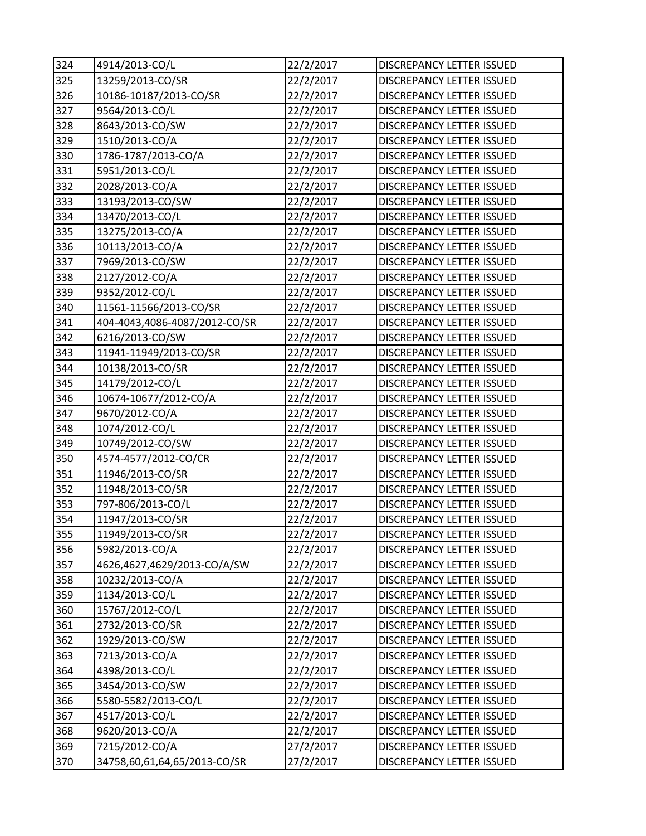| 324 | 4914/2013-CO/L                | 22/2/2017 | <b>DISCREPANCY LETTER ISSUED</b> |
|-----|-------------------------------|-----------|----------------------------------|
| 325 | 13259/2013-CO/SR              | 22/2/2017 | DISCREPANCY LETTER ISSUED        |
| 326 | 10186-10187/2013-CO/SR        | 22/2/2017 | DISCREPANCY LETTER ISSUED        |
| 327 | 9564/2013-CO/L                | 22/2/2017 | DISCREPANCY LETTER ISSUED        |
| 328 | 8643/2013-CO/SW               | 22/2/2017 | <b>DISCREPANCY LETTER ISSUED</b> |
| 329 | 1510/2013-CO/A                | 22/2/2017 | <b>DISCREPANCY LETTER ISSUED</b> |
| 330 | 1786-1787/2013-CO/A           | 22/2/2017 | <b>DISCREPANCY LETTER ISSUED</b> |
| 331 | 5951/2013-CO/L                | 22/2/2017 | <b>DISCREPANCY LETTER ISSUED</b> |
| 332 | 2028/2013-CO/A                | 22/2/2017 | DISCREPANCY LETTER ISSUED        |
| 333 | 13193/2013-CO/SW              | 22/2/2017 | <b>DISCREPANCY LETTER ISSUED</b> |
| 334 | 13470/2013-CO/L               | 22/2/2017 | DISCREPANCY LETTER ISSUED        |
| 335 | 13275/2013-CO/A               | 22/2/2017 | DISCREPANCY LETTER ISSUED        |
| 336 | 10113/2013-CO/A               | 22/2/2017 | DISCREPANCY LETTER ISSUED        |
| 337 | 7969/2013-CO/SW               | 22/2/2017 | <b>DISCREPANCY LETTER ISSUED</b> |
| 338 | 2127/2012-CO/A                | 22/2/2017 | <b>DISCREPANCY LETTER ISSUED</b> |
| 339 | 9352/2012-CO/L                | 22/2/2017 | DISCREPANCY LETTER ISSUED        |
| 340 | 11561-11566/2013-CO/SR        | 22/2/2017 | <b>DISCREPANCY LETTER ISSUED</b> |
| 341 | 404-4043,4086-4087/2012-CO/SR | 22/2/2017 | <b>DISCREPANCY LETTER ISSUED</b> |
| 342 | 6216/2013-CO/SW               | 22/2/2017 | <b>DISCREPANCY LETTER ISSUED</b> |
| 343 | 11941-11949/2013-CO/SR        | 22/2/2017 | DISCREPANCY LETTER ISSUED        |
| 344 | 10138/2013-CO/SR              | 22/2/2017 | DISCREPANCY LETTER ISSUED        |
| 345 | 14179/2012-CO/L               | 22/2/2017 | DISCREPANCY LETTER ISSUED        |
| 346 | 10674-10677/2012-CO/A         | 22/2/2017 | <b>DISCREPANCY LETTER ISSUED</b> |
| 347 | 9670/2012-CO/A                | 22/2/2017 | DISCREPANCY LETTER ISSUED        |
| 348 | 1074/2012-CO/L                | 22/2/2017 | <b>DISCREPANCY LETTER ISSUED</b> |
| 349 | 10749/2012-CO/SW              | 22/2/2017 | DISCREPANCY LETTER ISSUED        |
| 350 | 4574-4577/2012-CO/CR          | 22/2/2017 | DISCREPANCY LETTER ISSUED        |
| 351 | 11946/2013-CO/SR              | 22/2/2017 | DISCREPANCY LETTER ISSUED        |
| 352 | 11948/2013-CO/SR              | 22/2/2017 | DISCREPANCY LETTER ISSUED        |
| 353 | 797-806/2013-CO/L             | 22/2/2017 | <b>DISCREPANCY LETTER ISSUED</b> |
| 354 | 11947/2013-CO/SR              | 22/2/2017 | DISCREPANCY LETTER ISSUED        |
| 355 | 11949/2013-CO/SR              | 22/2/2017 | DISCREPANCY LETTER ISSUED        |
| 356 | 5982/2013-CO/A                | 22/2/2017 | DISCREPANCY LETTER ISSUED        |
| 357 | 4626,4627,4629/2013-CO/A/SW   | 22/2/2017 | DISCREPANCY LETTER ISSUED        |
| 358 | 10232/2013-CO/A               | 22/2/2017 | DISCREPANCY LETTER ISSUED        |
| 359 | 1134/2013-CO/L                | 22/2/2017 | DISCREPANCY LETTER ISSUED        |
| 360 | 15767/2012-CO/L               | 22/2/2017 | DISCREPANCY LETTER ISSUED        |
| 361 | 2732/2013-CO/SR               | 22/2/2017 | DISCREPANCY LETTER ISSUED        |
| 362 | 1929/2013-CO/SW               | 22/2/2017 | DISCREPANCY LETTER ISSUED        |
| 363 | 7213/2013-CO/A                | 22/2/2017 | DISCREPANCY LETTER ISSUED        |
| 364 | 4398/2013-CO/L                | 22/2/2017 | DISCREPANCY LETTER ISSUED        |
| 365 | 3454/2013-CO/SW               | 22/2/2017 | DISCREPANCY LETTER ISSUED        |
| 366 | 5580-5582/2013-CO/L           | 22/2/2017 | DISCREPANCY LETTER ISSUED        |
| 367 | 4517/2013-CO/L                | 22/2/2017 | DISCREPANCY LETTER ISSUED        |
| 368 | 9620/2013-CO/A                | 22/2/2017 | DISCREPANCY LETTER ISSUED        |
| 369 | 7215/2012-CO/A                | 27/2/2017 | DISCREPANCY LETTER ISSUED        |
| 370 | 34758,60,61,64,65/2013-CO/SR  | 27/2/2017 | DISCREPANCY LETTER ISSUED        |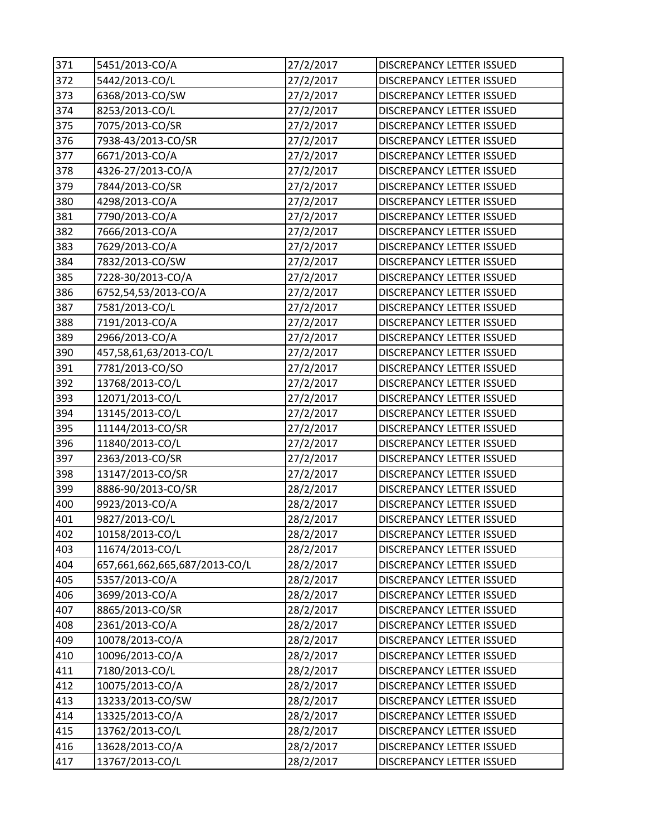| 371 | 5451/2013-CO/A                | 27/2/2017 | DISCREPANCY LETTER ISSUED        |
|-----|-------------------------------|-----------|----------------------------------|
| 372 | 5442/2013-CO/L                | 27/2/2017 | DISCREPANCY LETTER ISSUED        |
| 373 | 6368/2013-CO/SW               | 27/2/2017 | DISCREPANCY LETTER ISSUED        |
| 374 | 8253/2013-CO/L                | 27/2/2017 | DISCREPANCY LETTER ISSUED        |
| 375 | 7075/2013-CO/SR               | 27/2/2017 | DISCREPANCY LETTER ISSUED        |
| 376 | 7938-43/2013-CO/SR            | 27/2/2017 | <b>DISCREPANCY LETTER ISSUED</b> |
| 377 | 6671/2013-CO/A                | 27/2/2017 | <b>DISCREPANCY LETTER ISSUED</b> |
| 378 | 4326-27/2013-CO/A             | 27/2/2017 | <b>DISCREPANCY LETTER ISSUED</b> |
| 379 | 7844/2013-CO/SR               | 27/2/2017 | <b>DISCREPANCY LETTER ISSUED</b> |
| 380 | 4298/2013-CO/A                | 27/2/2017 | DISCREPANCY LETTER ISSUED        |
| 381 | 7790/2013-CO/A                | 27/2/2017 | DISCREPANCY LETTER ISSUED        |
| 382 | 7666/2013-CO/A                | 27/2/2017 | DISCREPANCY LETTER ISSUED        |
| 383 | 7629/2013-CO/A                | 27/2/2017 | DISCREPANCY LETTER ISSUED        |
| 384 | 7832/2013-CO/SW               | 27/2/2017 | <b>DISCREPANCY LETTER ISSUED</b> |
| 385 | 7228-30/2013-CO/A             | 27/2/2017 | DISCREPANCY LETTER ISSUED        |
| 386 | 6752,54,53/2013-CO/A          | 27/2/2017 | DISCREPANCY LETTER ISSUED        |
| 387 | 7581/2013-CO/L                | 27/2/2017 | DISCREPANCY LETTER ISSUED        |
| 388 | 7191/2013-CO/A                | 27/2/2017 | DISCREPANCY LETTER ISSUED        |
| 389 | 2966/2013-CO/A                | 27/2/2017 | DISCREPANCY LETTER ISSUED        |
| 390 | 457,58,61,63/2013-CO/L        | 27/2/2017 | <b>DISCREPANCY LETTER ISSUED</b> |
| 391 | 7781/2013-CO/SO               | 27/2/2017 | DISCREPANCY LETTER ISSUED        |
| 392 | 13768/2013-CO/L               | 27/2/2017 | DISCREPANCY LETTER ISSUED        |
| 393 | 12071/2013-CO/L               | 27/2/2017 | <b>DISCREPANCY LETTER ISSUED</b> |
| 394 | 13145/2013-CO/L               | 27/2/2017 | DISCREPANCY LETTER ISSUED        |
| 395 | 11144/2013-CO/SR              | 27/2/2017 | DISCREPANCY LETTER ISSUED        |
| 396 | 11840/2013-CO/L               | 27/2/2017 | <b>DISCREPANCY LETTER ISSUED</b> |
| 397 | 2363/2013-CO/SR               | 27/2/2017 | DISCREPANCY LETTER ISSUED        |
| 398 | 13147/2013-CO/SR              | 27/2/2017 | DISCREPANCY LETTER ISSUED        |
| 399 | 8886-90/2013-CO/SR            | 28/2/2017 | DISCREPANCY LETTER ISSUED        |
| 400 | 9923/2013-CO/A                | 28/2/2017 | DISCREPANCY LETTER ISSUED        |
| 401 | 9827/2013-CO/L                | 28/2/2017 | DISCREPANCY LETTER ISSUED        |
| 402 | 10158/2013-CO/L               | 28/2/2017 | DISCREPANCY LETTER ISSUED        |
| 403 | 11674/2013-CO/L               | 28/2/2017 | DISCREPANCY LETTER ISSUED        |
| 404 | 657,661,662,665,687/2013-CO/L | 28/2/2017 | DISCREPANCY LETTER ISSUED        |
| 405 | 5357/2013-CO/A                | 28/2/2017 | DISCREPANCY LETTER ISSUED        |
| 406 | 3699/2013-CO/A                | 28/2/2017 | DISCREPANCY LETTER ISSUED        |
| 407 | 8865/2013-CO/SR               | 28/2/2017 | DISCREPANCY LETTER ISSUED        |
| 408 | 2361/2013-CO/A                | 28/2/2017 | DISCREPANCY LETTER ISSUED        |
| 409 | 10078/2013-CO/A               | 28/2/2017 | DISCREPANCY LETTER ISSUED        |
| 410 | 10096/2013-CO/A               | 28/2/2017 | DISCREPANCY LETTER ISSUED        |
| 411 | 7180/2013-CO/L                | 28/2/2017 | DISCREPANCY LETTER ISSUED        |
| 412 | 10075/2013-CO/A               | 28/2/2017 | DISCREPANCY LETTER ISSUED        |
| 413 | 13233/2013-CO/SW              | 28/2/2017 | DISCREPANCY LETTER ISSUED        |
| 414 | 13325/2013-CO/A               | 28/2/2017 | DISCREPANCY LETTER ISSUED        |
| 415 | 13762/2013-CO/L               | 28/2/2017 | DISCREPANCY LETTER ISSUED        |
| 416 | 13628/2013-CO/A               | 28/2/2017 | DISCREPANCY LETTER ISSUED        |
| 417 | 13767/2013-CO/L               | 28/2/2017 | DISCREPANCY LETTER ISSUED        |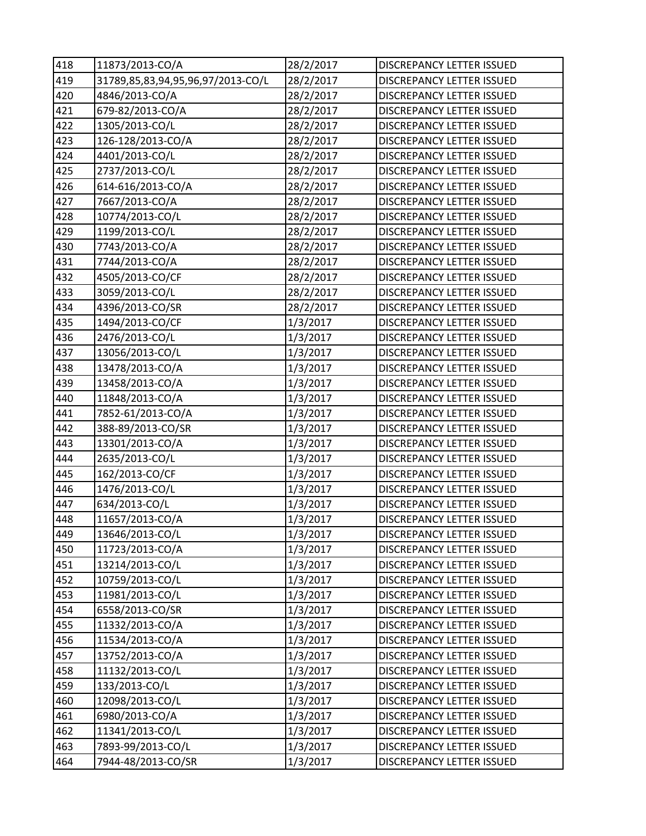| 418 | 11873/2013-CO/A                   | 28/2/2017 | DISCREPANCY LETTER ISSUED        |
|-----|-----------------------------------|-----------|----------------------------------|
| 419 | 31789,85,83,94,95,96,97/2013-CO/L | 28/2/2017 | <b>DISCREPANCY LETTER ISSUED</b> |
| 420 | 4846/2013-CO/A                    | 28/2/2017 | DISCREPANCY LETTER ISSUED        |
| 421 | 679-82/2013-CO/A                  | 28/2/2017 | DISCREPANCY LETTER ISSUED        |
| 422 | 1305/2013-CO/L                    | 28/2/2017 | DISCREPANCY LETTER ISSUED        |
| 423 | 126-128/2013-CO/A                 | 28/2/2017 | DISCREPANCY LETTER ISSUED        |
| 424 | 4401/2013-CO/L                    | 28/2/2017 | DISCREPANCY LETTER ISSUED        |
| 425 | 2737/2013-CO/L                    | 28/2/2017 | DISCREPANCY LETTER ISSUED        |
| 426 | 614-616/2013-CO/A                 | 28/2/2017 | DISCREPANCY LETTER ISSUED        |
| 427 | 7667/2013-CO/A                    | 28/2/2017 | <b>DISCREPANCY LETTER ISSUED</b> |
| 428 | 10774/2013-CO/L                   | 28/2/2017 | DISCREPANCY LETTER ISSUED        |
| 429 | 1199/2013-CO/L                    | 28/2/2017 | DISCREPANCY LETTER ISSUED        |
| 430 | 7743/2013-CO/A                    | 28/2/2017 | DISCREPANCY LETTER ISSUED        |
| 431 | 7744/2013-CO/A                    | 28/2/2017 | <b>DISCREPANCY LETTER ISSUED</b> |
| 432 | 4505/2013-CO/CF                   | 28/2/2017 | DISCREPANCY LETTER ISSUED        |
| 433 | 3059/2013-CO/L                    | 28/2/2017 | DISCREPANCY LETTER ISSUED        |
| 434 | 4396/2013-CO/SR                   | 28/2/2017 | DISCREPANCY LETTER ISSUED        |
| 435 | 1494/2013-CO/CF                   | 1/3/2017  | <b>DISCREPANCY LETTER ISSUED</b> |
| 436 | 2476/2013-CO/L                    | 1/3/2017  | DISCREPANCY LETTER ISSUED        |
| 437 | 13056/2013-CO/L                   | 1/3/2017  | <b>DISCREPANCY LETTER ISSUED</b> |
| 438 | 13478/2013-CO/A                   | 1/3/2017  | DISCREPANCY LETTER ISSUED        |
| 439 | 13458/2013-CO/A                   | 1/3/2017  | DISCREPANCY LETTER ISSUED        |
| 440 | 11848/2013-CO/A                   | 1/3/2017  | <b>DISCREPANCY LETTER ISSUED</b> |
| 441 | 7852-61/2013-CO/A                 | 1/3/2017  | DISCREPANCY LETTER ISSUED        |
| 442 | 388-89/2013-CO/SR                 | 1/3/2017  | DISCREPANCY LETTER ISSUED        |
| 443 | 13301/2013-CO/A                   | 1/3/2017  | DISCREPANCY LETTER ISSUED        |
| 444 | 2635/2013-CO/L                    | 1/3/2017  | DISCREPANCY LETTER ISSUED        |
| 445 | 162/2013-CO/CF                    | 1/3/2017  | DISCREPANCY LETTER ISSUED        |
| 446 | 1476/2013-CO/L                    | 1/3/2017  | DISCREPANCY LETTER ISSUED        |
| 447 | 634/2013-CO/L                     | 1/3/2017  | <b>DISCREPANCY LETTER ISSUED</b> |
| 448 | 11657/2013-CO/A                   | 1/3/2017  | DISCREPANCY LETTER ISSUED        |
| 449 | 13646/2013-CO/L                   | 1/3/2017  | DISCREPANCY LETTER ISSUED        |
| 450 | 11723/2013-CO/A                   | 1/3/2017  | DISCREPANCY LETTER ISSUED        |
| 451 | 13214/2013-CO/L                   | 1/3/2017  | DISCREPANCY LETTER ISSUED        |
| 452 | 10759/2013-CO/L                   | 1/3/2017  | <b>DISCREPANCY LETTER ISSUED</b> |
| 453 | 11981/2013-CO/L                   | 1/3/2017  | DISCREPANCY LETTER ISSUED        |
| 454 | 6558/2013-CO/SR                   | 1/3/2017  | DISCREPANCY LETTER ISSUED        |
| 455 | 11332/2013-CO/A                   | 1/3/2017  | DISCREPANCY LETTER ISSUED        |
| 456 | 11534/2013-CO/A                   | 1/3/2017  | <b>DISCREPANCY LETTER ISSUED</b> |
| 457 | 13752/2013-CO/A                   | 1/3/2017  | DISCREPANCY LETTER ISSUED        |
| 458 | 11132/2013-CO/L                   | 1/3/2017  | DISCREPANCY LETTER ISSUED        |
| 459 | 133/2013-CO/L                     | 1/3/2017  | DISCREPANCY LETTER ISSUED        |
| 460 | 12098/2013-CO/L                   | 1/3/2017  | DISCREPANCY LETTER ISSUED        |
| 461 | 6980/2013-CO/A                    | 1/3/2017  | DISCREPANCY LETTER ISSUED        |
| 462 | 11341/2013-CO/L                   | 1/3/2017  | DISCREPANCY LETTER ISSUED        |
| 463 | 7893-99/2013-CO/L                 | 1/3/2017  | DISCREPANCY LETTER ISSUED        |
| 464 | 7944-48/2013-CO/SR                | 1/3/2017  | DISCREPANCY LETTER ISSUED        |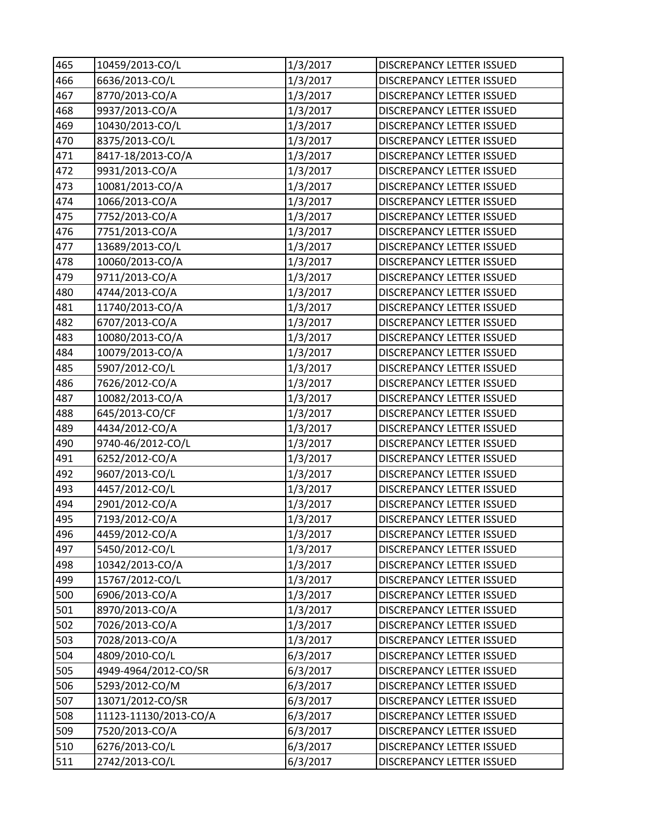| 465 | 10459/2013-CO/L       | 1/3/2017 | DISCREPANCY LETTER ISSUED        |
|-----|-----------------------|----------|----------------------------------|
| 466 | 6636/2013-CO/L        | 1/3/2017 | DISCREPANCY LETTER ISSUED        |
| 467 | 8770/2013-CO/A        | 1/3/2017 | DISCREPANCY LETTER ISSUED        |
| 468 | 9937/2013-CO/A        | 1/3/2017 | DISCREPANCY LETTER ISSUED        |
| 469 | 10430/2013-CO/L       | 1/3/2017 | DISCREPANCY LETTER ISSUED        |
| 470 | 8375/2013-CO/L        | 1/3/2017 | DISCREPANCY LETTER ISSUED        |
| 471 | 8417-18/2013-CO/A     | 1/3/2017 | DISCREPANCY LETTER ISSUED        |
| 472 | 9931/2013-CO/A        | 1/3/2017 | DISCREPANCY LETTER ISSUED        |
| 473 | 10081/2013-CO/A       | 1/3/2017 | DISCREPANCY LETTER ISSUED        |
| 474 | 1066/2013-CO/A        | 1/3/2017 | DISCREPANCY LETTER ISSUED        |
| 475 | 7752/2013-CO/A        | 1/3/2017 | DISCREPANCY LETTER ISSUED        |
| 476 | 7751/2013-CO/A        | 1/3/2017 | DISCREPANCY LETTER ISSUED        |
| 477 | 13689/2013-CO/L       | 1/3/2017 | DISCREPANCY LETTER ISSUED        |
| 478 | 10060/2013-CO/A       | 1/3/2017 | DISCREPANCY LETTER ISSUED        |
| 479 | 9711/2013-CO/A        | 1/3/2017 | DISCREPANCY LETTER ISSUED        |
| 480 | 4744/2013-CO/A        | 1/3/2017 | DISCREPANCY LETTER ISSUED        |
| 481 | 11740/2013-CO/A       | 1/3/2017 | DISCREPANCY LETTER ISSUED        |
| 482 | 6707/2013-CO/A        | 1/3/2017 | DISCREPANCY LETTER ISSUED        |
| 483 | 10080/2013-CO/A       | 1/3/2017 | DISCREPANCY LETTER ISSUED        |
| 484 | 10079/2013-CO/A       | 1/3/2017 | <b>DISCREPANCY LETTER ISSUED</b> |
| 485 | 5907/2012-CO/L        | 1/3/2017 | <b>DISCREPANCY LETTER ISSUED</b> |
| 486 | 7626/2012-CO/A        | 1/3/2017 | DISCREPANCY LETTER ISSUED        |
| 487 | 10082/2013-CO/A       | 1/3/2017 | <b>DISCREPANCY LETTER ISSUED</b> |
| 488 | 645/2013-CO/CF        | 1/3/2017 | DISCREPANCY LETTER ISSUED        |
| 489 | 4434/2012-CO/A        | 1/3/2017 | <b>DISCREPANCY LETTER ISSUED</b> |
| 490 | 9740-46/2012-CO/L     | 1/3/2017 | <b>DISCREPANCY LETTER ISSUED</b> |
| 491 | 6252/2012-CO/A        | 1/3/2017 | <b>DISCREPANCY LETTER ISSUED</b> |
| 492 | 9607/2013-CO/L        | 1/3/2017 | <b>DISCREPANCY LETTER ISSUED</b> |
| 493 | 4457/2012-CO/L        | 1/3/2017 | DISCREPANCY LETTER ISSUED        |
| 494 | 2901/2012-CO/A        | 1/3/2017 | DISCREPANCY LETTER ISSUED        |
| 495 | 7193/2012-CO/A        | 1/3/2017 | DISCREPANCY LETTER ISSUED        |
| 496 | 4459/2012-CO/A        | 1/3/2017 | DISCREPANCY LETTER ISSUED        |
| 497 | 5450/2012-CO/L        | 1/3/2017 | DISCREPANCY LETTER ISSUED        |
| 498 | 10342/2013-CO/A       | 1/3/2017 | DISCREPANCY LETTER ISSUED        |
| 499 | 15767/2012-CO/L       | 1/3/2017 | <b>DISCREPANCY LETTER ISSUED</b> |
| 500 | 6906/2013-CO/A        | 1/3/2017 | <b>DISCREPANCY LETTER ISSUED</b> |
| 501 | 8970/2013-CO/A        | 1/3/2017 | DISCREPANCY LETTER ISSUED        |
| 502 | 7026/2013-CO/A        | 1/3/2017 | <b>DISCREPANCY LETTER ISSUED</b> |
| 503 | 7028/2013-CO/A        | 1/3/2017 | DISCREPANCY LETTER ISSUED        |
| 504 | 4809/2010-CO/L        | 6/3/2017 | DISCREPANCY LETTER ISSUED        |
| 505 | 4949-4964/2012-CO/SR  | 6/3/2017 | DISCREPANCY LETTER ISSUED        |
| 506 | 5293/2012-CO/M        | 6/3/2017 | DISCREPANCY LETTER ISSUED        |
| 507 | 13071/2012-CO/SR      | 6/3/2017 | DISCREPANCY LETTER ISSUED        |
| 508 | 11123-11130/2013-CO/A | 6/3/2017 | DISCREPANCY LETTER ISSUED        |
| 509 | 7520/2013-CO/A        | 6/3/2017 | DISCREPANCY LETTER ISSUED        |
| 510 | 6276/2013-CO/L        | 6/3/2017 | DISCREPANCY LETTER ISSUED        |
| 511 | 2742/2013-CO/L        | 6/3/2017 | DISCREPANCY LETTER ISSUED        |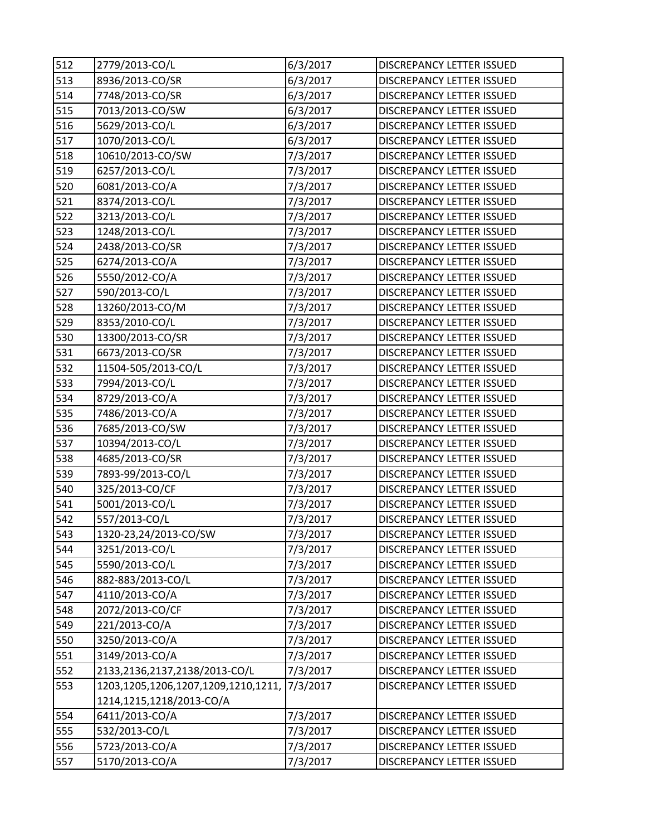| 512 | 2779/2013-CO/L                      | 6/3/2017 | DISCREPANCY LETTER ISSUED        |
|-----|-------------------------------------|----------|----------------------------------|
| 513 | 8936/2013-CO/SR                     | 6/3/2017 | DISCREPANCY LETTER ISSUED        |
| 514 | 7748/2013-CO/SR                     | 6/3/2017 | DISCREPANCY LETTER ISSUED        |
| 515 | 7013/2013-CO/SW                     | 6/3/2017 | <b>DISCREPANCY LETTER ISSUED</b> |
| 516 | 5629/2013-CO/L                      | 6/3/2017 | <b>DISCREPANCY LETTER ISSUED</b> |
| 517 | 1070/2013-CO/L                      | 6/3/2017 | <b>DISCREPANCY LETTER ISSUED</b> |
| 518 | 10610/2013-CO/SW                    | 7/3/2017 | <b>DISCREPANCY LETTER ISSUED</b> |
| 519 | 6257/2013-CO/L                      | 7/3/2017 | DISCREPANCY LETTER ISSUED        |
| 520 | 6081/2013-CO/A                      | 7/3/2017 | DISCREPANCY LETTER ISSUED        |
| 521 | 8374/2013-CO/L                      | 7/3/2017 | <b>DISCREPANCY LETTER ISSUED</b> |
| 522 | 3213/2013-CO/L                      | 7/3/2017 | DISCREPANCY LETTER ISSUED        |
| 523 | 1248/2013-CO/L                      | 7/3/2017 | DISCREPANCY LETTER ISSUED        |
| 524 | 2438/2013-CO/SR                     | 7/3/2017 | DISCREPANCY LETTER ISSUED        |
| 525 | 6274/2013-CO/A                      | 7/3/2017 | <b>DISCREPANCY LETTER ISSUED</b> |
| 526 | 5550/2012-CO/A                      | 7/3/2017 | <b>DISCREPANCY LETTER ISSUED</b> |
| 527 | 590/2013-CO/L                       | 7/3/2017 | DISCREPANCY LETTER ISSUED        |
| 528 | 13260/2013-CO/M                     | 7/3/2017 | <b>DISCREPANCY LETTER ISSUED</b> |
| 529 | 8353/2010-CO/L                      | 7/3/2017 | DISCREPANCY LETTER ISSUED        |
| 530 | 13300/2013-CO/SR                    | 7/3/2017 | DISCREPANCY LETTER ISSUED        |
| 531 | 6673/2013-CO/SR                     | 7/3/2017 | <b>DISCREPANCY LETTER ISSUED</b> |
| 532 | 11504-505/2013-CO/L                 | 7/3/2017 | <b>DISCREPANCY LETTER ISSUED</b> |
| 533 | 7994/2013-CO/L                      | 7/3/2017 | DISCREPANCY LETTER ISSUED        |
| 534 | 8729/2013-CO/A                      | 7/3/2017 | DISCREPANCY LETTER ISSUED        |
| 535 | 7486/2013-CO/A                      | 7/3/2017 | DISCREPANCY LETTER ISSUED        |
| 536 | 7685/2013-CO/SW                     | 7/3/2017 | <b>DISCREPANCY LETTER ISSUED</b> |
| 537 | 10394/2013-CO/L                     | 7/3/2017 | DISCREPANCY LETTER ISSUED        |
| 538 | 4685/2013-CO/SR                     | 7/3/2017 | DISCREPANCY LETTER ISSUED        |
| 539 | 7893-99/2013-CO/L                   | 7/3/2017 | DISCREPANCY LETTER ISSUED        |
| 540 | 325/2013-CO/CF                      | 7/3/2017 | DISCREPANCY LETTER ISSUED        |
| 541 | 5001/2013-CO/L                      | 7/3/2017 | DISCREPANCY LETTER ISSUED        |
| 542 | 557/2013-CO/L                       | 7/3/2017 | DISCREPANCY LETTER ISSUED        |
| 543 | 1320-23,24/2013-CO/SW               | 7/3/2017 | DISCREPANCY LETTER ISSUED        |
| 544 | 3251/2013-CO/L                      | 7/3/2017 | DISCREPANCY LETTER ISSUED        |
| 545 | 5590/2013-CO/L                      | 7/3/2017 | DISCREPANCY LETTER ISSUED        |
| 546 | 882-883/2013-CO/L                   | 7/3/2017 | <b>DISCREPANCY LETTER ISSUED</b> |
| 547 | 4110/2013-CO/A                      | 7/3/2017 | <b>DISCREPANCY LETTER ISSUED</b> |
| 548 | 2072/2013-CO/CF                     | 7/3/2017 | DISCREPANCY LETTER ISSUED        |
| 549 | 221/2013-CO/A                       | 7/3/2017 | DISCREPANCY LETTER ISSUED        |
| 550 | 3250/2013-CO/A                      | 7/3/2017 | DISCREPANCY LETTER ISSUED        |
| 551 | 3149/2013-CO/A                      | 7/3/2017 | DISCREPANCY LETTER ISSUED        |
| 552 | 2133,2136,2137,2138/2013-CO/L       | 7/3/2017 | DISCREPANCY LETTER ISSUED        |
| 553 | 1203,1205,1206,1207,1209,1210,1211, | 7/3/2017 | DISCREPANCY LETTER ISSUED        |
|     | 1214,1215,1218/2013-CO/A            |          |                                  |
| 554 | 6411/2013-CO/A                      | 7/3/2017 | DISCREPANCY LETTER ISSUED        |
| 555 | 532/2013-CO/L                       | 7/3/2017 | DISCREPANCY LETTER ISSUED        |
| 556 | 5723/2013-CO/A                      | 7/3/2017 | DISCREPANCY LETTER ISSUED        |
| 557 | 5170/2013-CO/A                      | 7/3/2017 | DISCREPANCY LETTER ISSUED        |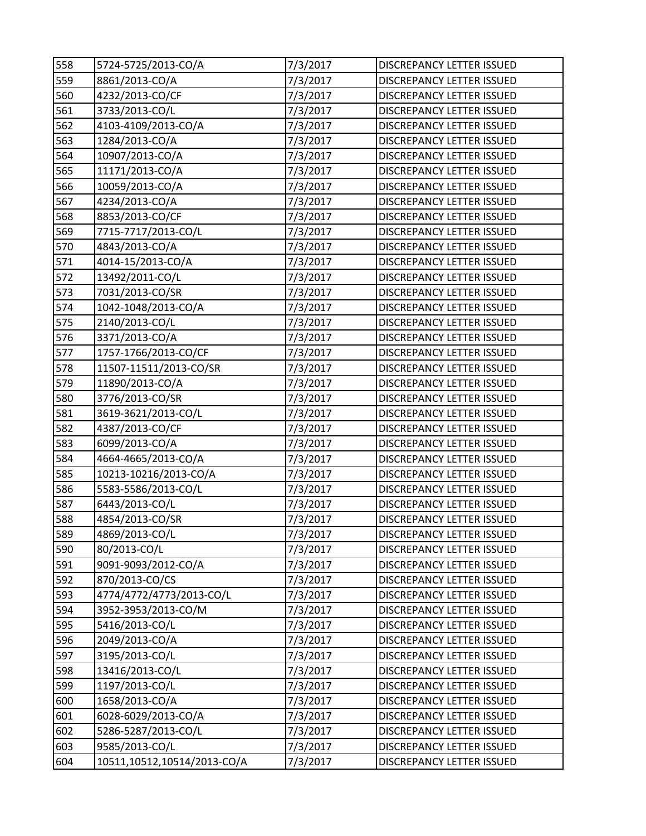| 558 | 5724-5725/2013-CO/A         | 7/3/2017 | DISCREPANCY LETTER ISSUED        |
|-----|-----------------------------|----------|----------------------------------|
| 559 | 8861/2013-CO/A              | 7/3/2017 | DISCREPANCY LETTER ISSUED        |
| 560 | 4232/2013-CO/CF             | 7/3/2017 | DISCREPANCY LETTER ISSUED        |
| 561 | 3733/2013-CO/L              | 7/3/2017 | <b>DISCREPANCY LETTER ISSUED</b> |
| 562 | 4103-4109/2013-CO/A         | 7/3/2017 | <b>DISCREPANCY LETTER ISSUED</b> |
| 563 | 1284/2013-CO/A              | 7/3/2017 | DISCREPANCY LETTER ISSUED        |
| 564 | 10907/2013-CO/A             | 7/3/2017 | <b>DISCREPANCY LETTER ISSUED</b> |
| 565 | 11171/2013-CO/A             | 7/3/2017 | DISCREPANCY LETTER ISSUED        |
| 566 | 10059/2013-CO/A             | 7/3/2017 | DISCREPANCY LETTER ISSUED        |
| 567 | 4234/2013-CO/A              | 7/3/2017 | <b>DISCREPANCY LETTER ISSUED</b> |
| 568 | 8853/2013-CO/CF             | 7/3/2017 | <b>DISCREPANCY LETTER ISSUED</b> |
| 569 | 7715-7717/2013-CO/L         | 7/3/2017 | DISCREPANCY LETTER ISSUED        |
| 570 | 4843/2013-CO/A              | 7/3/2017 | DISCREPANCY LETTER ISSUED        |
| 571 | 4014-15/2013-CO/A           | 7/3/2017 | DISCREPANCY LETTER ISSUED        |
| 572 | 13492/2011-CO/L             | 7/3/2017 | <b>DISCREPANCY LETTER ISSUED</b> |
| 573 | 7031/2013-CO/SR             | 7/3/2017 | <b>DISCREPANCY LETTER ISSUED</b> |
| 574 | 1042-1048/2013-CO/A         | 7/3/2017 | DISCREPANCY LETTER ISSUED        |
| 575 | 2140/2013-CO/L              | 7/3/2017 | DISCREPANCY LETTER ISSUED        |
| 576 | 3371/2013-CO/A              | 7/3/2017 | DISCREPANCY LETTER ISSUED        |
| 577 | 1757-1766/2013-CO/CF        | 7/3/2017 | <b>DISCREPANCY LETTER ISSUED</b> |
| 578 | 11507-11511/2013-CO/SR      | 7/3/2017 | <b>DISCREPANCY LETTER ISSUED</b> |
| 579 | 11890/2013-CO/A             | 7/3/2017 | DISCREPANCY LETTER ISSUED        |
| 580 | 3776/2013-CO/SR             | 7/3/2017 | <b>DISCREPANCY LETTER ISSUED</b> |
| 581 | 3619-3621/2013-CO/L         | 7/3/2017 | DISCREPANCY LETTER ISSUED        |
| 582 | 4387/2013-CO/CF             | 7/3/2017 | <b>DISCREPANCY LETTER ISSUED</b> |
| 583 | 6099/2013-CO/A              | 7/3/2017 | <b>DISCREPANCY LETTER ISSUED</b> |
| 584 | 4664-4665/2013-CO/A         | 7/3/2017 | DISCREPANCY LETTER ISSUED        |
| 585 | 10213-10216/2013-CO/A       | 7/3/2017 | DISCREPANCY LETTER ISSUED        |
| 586 | 5583-5586/2013-CO/L         | 7/3/2017 | DISCREPANCY LETTER ISSUED        |
| 587 | 6443/2013-CO/L              | 7/3/2017 | <b>DISCREPANCY LETTER ISSUED</b> |
| 588 | 4854/2013-CO/SR             | 7/3/2017 | DISCREPANCY LETTER ISSUED        |
| 589 | 4869/2013-CO/L              | 7/3/2017 | DISCREPANCY LETTER ISSUED        |
| 590 | 80/2013-CO/L                | 7/3/2017 | DISCREPANCY LETTER ISSUED        |
| 591 | 9091-9093/2012-CO/A         | 7/3/2017 | DISCREPANCY LETTER ISSUED        |
| 592 | 870/2013-CO/CS              | 7/3/2017 | <b>DISCREPANCY LETTER ISSUED</b> |
| 593 | 4774/4772/4773/2013-CO/L    | 7/3/2017 | DISCREPANCY LETTER ISSUED        |
| 594 | 3952-3953/2013-CO/M         | 7/3/2017 | DISCREPANCY LETTER ISSUED        |
| 595 | 5416/2013-CO/L              | 7/3/2017 | DISCREPANCY LETTER ISSUED        |
| 596 | 2049/2013-CO/A              | 7/3/2017 | DISCREPANCY LETTER ISSUED        |
| 597 | 3195/2013-CO/L              | 7/3/2017 | <b>DISCREPANCY LETTER ISSUED</b> |
| 598 | 13416/2013-CO/L             | 7/3/2017 | DISCREPANCY LETTER ISSUED        |
| 599 | 1197/2013-CO/L              | 7/3/2017 | DISCREPANCY LETTER ISSUED        |
| 600 | 1658/2013-CO/A              | 7/3/2017 | DISCREPANCY LETTER ISSUED        |
| 601 | 6028-6029/2013-CO/A         | 7/3/2017 | DISCREPANCY LETTER ISSUED        |
| 602 | 5286-5287/2013-CO/L         | 7/3/2017 | DISCREPANCY LETTER ISSUED        |
| 603 | 9585/2013-CO/L              | 7/3/2017 | DISCREPANCY LETTER ISSUED        |
| 604 | 10511,10512,10514/2013-CO/A | 7/3/2017 | DISCREPANCY LETTER ISSUED        |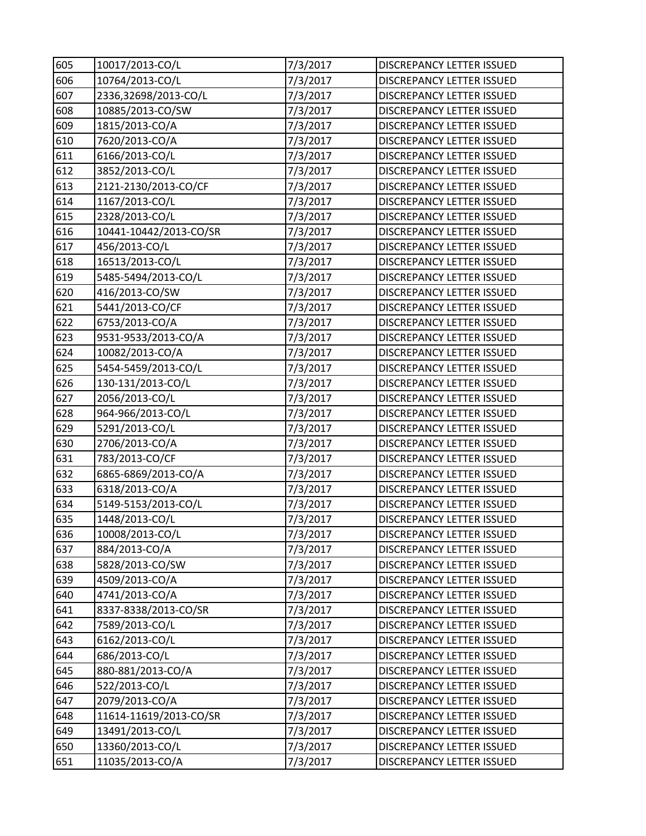| 605 | 10017/2013-CO/L        | 7/3/2017 | DISCREPANCY LETTER ISSUED        |
|-----|------------------------|----------|----------------------------------|
| 606 | 10764/2013-CO/L        | 7/3/2017 | DISCREPANCY LETTER ISSUED        |
| 607 | 2336,32698/2013-CO/L   | 7/3/2017 | DISCREPANCY LETTER ISSUED        |
| 608 | 10885/2013-CO/SW       | 7/3/2017 | DISCREPANCY LETTER ISSUED        |
| 609 | 1815/2013-CO/A         | 7/3/2017 | DISCREPANCY LETTER ISSUED        |
| 610 | 7620/2013-CO/A         | 7/3/2017 | DISCREPANCY LETTER ISSUED        |
| 611 | 6166/2013-CO/L         | 7/3/2017 | DISCREPANCY LETTER ISSUED        |
| 612 | 3852/2013-CO/L         | 7/3/2017 | DISCREPANCY LETTER ISSUED        |
| 613 | 2121-2130/2013-CO/CF   | 7/3/2017 | DISCREPANCY LETTER ISSUED        |
| 614 | 1167/2013-CO/L         | 7/3/2017 | <b>DISCREPANCY LETTER ISSUED</b> |
| 615 | 2328/2013-CO/L         | 7/3/2017 | DISCREPANCY LETTER ISSUED        |
| 616 | 10441-10442/2013-CO/SR | 7/3/2017 | DISCREPANCY LETTER ISSUED        |
| 617 | 456/2013-CO/L          | 7/3/2017 | DISCREPANCY LETTER ISSUED        |
| 618 | 16513/2013-CO/L        | 7/3/2017 | <b>DISCREPANCY LETTER ISSUED</b> |
| 619 | 5485-5494/2013-CO/L    | 7/3/2017 | <b>DISCREPANCY LETTER ISSUED</b> |
| 620 | 416/2013-CO/SW         | 7/3/2017 | DISCREPANCY LETTER ISSUED        |
| 621 | 5441/2013-CO/CF        | 7/3/2017 | DISCREPANCY LETTER ISSUED        |
| 622 | 6753/2013-CO/A         | 7/3/2017 | DISCREPANCY LETTER ISSUED        |
| 623 | 9531-9533/2013-CO/A    | 7/3/2017 | DISCREPANCY LETTER ISSUED        |
| 624 | 10082/2013-CO/A        | 7/3/2017 | <b>DISCREPANCY LETTER ISSUED</b> |
| 625 | 5454-5459/2013-CO/L    | 7/3/2017 | <b>DISCREPANCY LETTER ISSUED</b> |
| 626 | 130-131/2013-CO/L      | 7/3/2017 | DISCREPANCY LETTER ISSUED        |
| 627 | 2056/2013-CO/L         | 7/3/2017 | <b>DISCREPANCY LETTER ISSUED</b> |
| 628 | 964-966/2013-CO/L      | 7/3/2017 | DISCREPANCY LETTER ISSUED        |
| 629 | 5291/2013-CO/L         | 7/3/2017 | DISCREPANCY LETTER ISSUED        |
| 630 | 2706/2013-CO/A         | 7/3/2017 | <b>DISCREPANCY LETTER ISSUED</b> |
| 631 | 783/2013-CO/CF         | 7/3/2017 | DISCREPANCY LETTER ISSUED        |
| 632 | 6865-6869/2013-CO/A    | 7/3/2017 | DISCREPANCY LETTER ISSUED        |
| 633 | 6318/2013-CO/A         | 7/3/2017 | DISCREPANCY LETTER ISSUED        |
| 634 | 5149-5153/2013-CO/L    | 7/3/2017 | <b>DISCREPANCY LETTER ISSUED</b> |
| 635 | 1448/2013-CO/L         | 7/3/2017 | DISCREPANCY LETTER ISSUED        |
| 636 | 10008/2013-CO/L        | 7/3/2017 | DISCREPANCY LETTER ISSUED        |
| 637 | 884/2013-CO/A          | 7/3/2017 | DISCREPANCY LETTER ISSUED        |
| 638 | 5828/2013-CO/SW        | 7/3/2017 | DISCREPANCY LETTER ISSUED        |
| 639 | 4509/2013-CO/A         | 7/3/2017 | <b>DISCREPANCY LETTER ISSUED</b> |
| 640 | 4741/2013-CO/A         | 7/3/2017 | <b>DISCREPANCY LETTER ISSUED</b> |
| 641 | 8337-8338/2013-CO/SR   | 7/3/2017 | DISCREPANCY LETTER ISSUED        |
| 642 | 7589/2013-CO/L         | 7/3/2017 | DISCREPANCY LETTER ISSUED        |
| 643 | 6162/2013-CO/L         | 7/3/2017 | DISCREPANCY LETTER ISSUED        |
| 644 | 686/2013-CO/L          | 7/3/2017 | <b>DISCREPANCY LETTER ISSUED</b> |
| 645 | 880-881/2013-CO/A      | 7/3/2017 | DISCREPANCY LETTER ISSUED        |
| 646 | 522/2013-CO/L          | 7/3/2017 | DISCREPANCY LETTER ISSUED        |
| 647 | 2079/2013-CO/A         | 7/3/2017 | DISCREPANCY LETTER ISSUED        |
| 648 | 11614-11619/2013-CO/SR | 7/3/2017 | DISCREPANCY LETTER ISSUED        |
| 649 | 13491/2013-CO/L        | 7/3/2017 | DISCREPANCY LETTER ISSUED        |
| 650 | 13360/2013-CO/L        | 7/3/2017 | DISCREPANCY LETTER ISSUED        |
| 651 | 11035/2013-CO/A        | 7/3/2017 | DISCREPANCY LETTER ISSUED        |